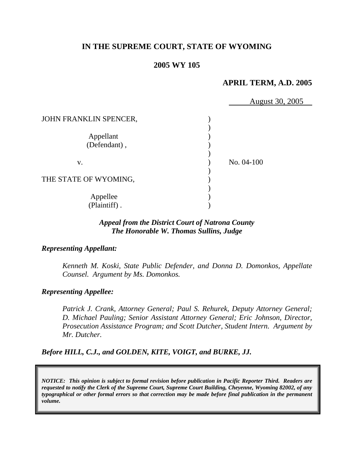# **IN THE SUPREME COURT, STATE OF WYOMING**

# **2005 WY 105**

#### **APRIL TERM, A.D. 2005**

August 30, 2005

JOHN FRANKLIN SPENCER, ) Appellant (1) (Defendant), ) v. ) No. 04-100 ) THE STATE OF WYOMING, ) Appellee (b) (Plaintiff) . )

### *Appeal from the District Court of Natrona County The Honorable W. Thomas Sullins, Judge*

#### *Representing Appellant:*

*Kenneth M. Koski, State Public Defender, and Donna D. Domonkos, Appellate Counsel. Argument by Ms. Domonkos.* 

#### *Representing Appellee:*

*Patrick J. Crank, Attorney General; Paul S. Rehurek, Deputy Attorney General; D. Michael Pauling; Senior Assistant Attorney General; Eric Johnson, Director, Prosecution Assistance Program; and Scott Dutcher, Student Intern. Argument by Mr. Dutcher.* 

*Before HILL, C.J., and GOLDEN, KITE, VOIGT, and BURKE, JJ.* 

*NOTICE: This opinion is subject to formal revision before publication in Pacific Reporter Third. Readers are requested to notify the Clerk of the Supreme Court, Supreme Court Building, Cheyenne, Wyoming 82002, of any typographical or other formal errors so that correction may be made before final publication in the permanent volume.*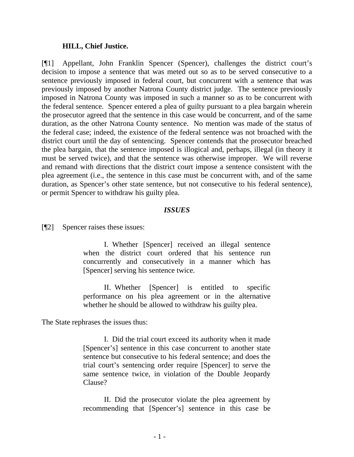#### **HILL, Chief Justice.**

[¶1] Appellant, John Franklin Spencer (Spencer), challenges the district court's decision to impose a sentence that was meted out so as to be served consecutive to a sentence previously imposed in federal court, but concurrent with a sentence that was previously imposed by another Natrona County district judge. The sentence previously imposed in Natrona County was imposed in such a manner so as to be concurrent with the federal sentence. Spencer entered a plea of guilty pursuant to a plea bargain wherein the prosecutor agreed that the sentence in this case would be concurrent, and of the same duration, as the other Natrona County sentence. No mention was made of the status of the federal case; indeed, the existence of the federal sentence was not broached with the district court until the day of sentencing. Spencer contends that the prosecutor breached the plea bargain, that the sentence imposed is illogical and, perhaps, illegal (in theory it must be served twice), and that the sentence was otherwise improper. We will reverse and remand with directions that the district court impose a sentence consistent with the plea agreement (i.e., the sentence in this case must be concurrent with, and of the same duration, as Spencer's other state sentence, but not consecutive to his federal sentence), or permit Spencer to withdraw his guilty plea.

#### *ISSUES*

[¶2] Spencer raises these issues:

I. Whether [Spencer] received an illegal sentence when the district court ordered that his sentence run concurrently and consecutively in a manner which has [Spencer] serving his sentence twice.

II. Whether [Spencer] is entitled to specific performance on his plea agreement or in the alternative whether he should be allowed to withdraw his guilty plea.

The State rephrases the issues thus:

I. Did the trial court exceed its authority when it made [Spencer's] sentence in this case concurrent to another state sentence but consecutive to his federal sentence; and does the trial court's sentencing order require [Spencer] to serve the same sentence twice, in violation of the Double Jeopardy Clause?

II. Did the prosecutor violate the plea agreement by recommending that [Spencer's] sentence in this case be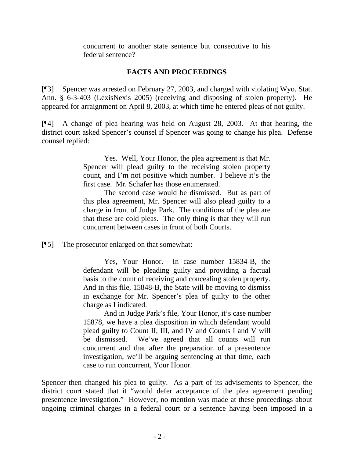concurrent to another state sentence but consecutive to his federal sentence?

# **FACTS AND PROCEEDINGS**

[¶3] Spencer was arrested on February 27, 2003, and charged with violating Wyo. Stat. Ann. § 6-3-403 (LexisNexis 2005) (receiving and disposing of stolen property). He appeared for arraignment on April 8, 2003, at which time he entered pleas of not guilty.

[¶4] A change of plea hearing was held on August 28, 2003. At that hearing, the district court asked Spencer's counsel if Spencer was going to change his plea. Defense counsel replied:

> Yes. Well, Your Honor, the plea agreement is that Mr. Spencer will plead guilty to the receiving stolen property count, and I'm not positive which number. I believe it's the first case. Mr. Schafer has those enumerated.

> The second case would be dismissed. But as part of this plea agreement, Mr. Spencer will also plead guilty to a charge in front of Judge Park. The conditions of the plea are that these are cold pleas. The only thing is that they will run concurrent between cases in front of both Courts.

[¶5] The prosecutor enlarged on that somewhat:

Yes, Your Honor. In case number 15834-B, the defendant will be pleading guilty and providing a factual basis to the count of receiving and concealing stolen property. And in this file, 15848-B, the State will be moving to dismiss in exchange for Mr. Spencer's plea of guilty to the other charge as I indicated.

And in Judge Park's file, Your Honor, it's case number 15878, we have a plea disposition in which defendant would plead guilty to Count II, III, and IV and Counts I and V will be dismissed. We've agreed that all counts will run concurrent and that after the preparation of a presentence investigation, we'll be arguing sentencing at that time, each case to run concurrent, Your Honor.

Spencer then changed his plea to guilty. As a part of its advisements to Spencer, the district court stated that it "would defer acceptance of the plea agreement pending presentence investigation." However, no mention was made at these proceedings about ongoing criminal charges in a federal court or a sentence having been imposed in a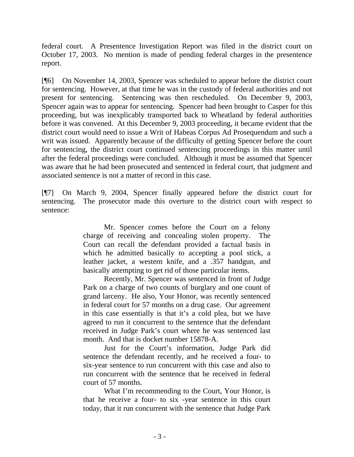federal court. A Presentence Investigation Report was filed in the district court on October 17, 2003. No mention is made of pending federal charges in the presentence report.

[¶6] On November 14, 2003, Spencer was scheduled to appear before the district court for sentencing. However, at that time he was in the custody of federal authorities and not present for sentencing. Sentencing was then rescheduled. On December 9, 2003, Spencer again was to appear for sentencing. Spencer had been brought to Casper for this proceeding, but was inexplicably transported back to Wheatland by federal authorities before it was convened. At this December 9, 2003 proceeding, it became evident that the district court would need to issue a Writ of Habeas Corpus Ad Prosequendum and such a writ was issued. Apparently because of the difficulty of getting Spencer before the court for sentencing, the district court continued sentencing proceedings in this matter until after the federal proceedings were concluded. Although it must be assumed that Spencer was aware that he had been prosecuted and sentenced in federal court, that judgment and associated sentence is not a matter of record in this case.

[¶7] On March 9, 2004, Spencer finally appeared before the district court for sentencing. The prosecutor made this overture to the district court with respect to sentence:

> Mr. Spencer comes before the Court on a felony charge of receiving and concealing stolen property. The Court can recall the defendant provided a factual basis in which he admitted basically to accepting a pool stick, a leather jacket, a western knife, and a .357 handgun, and basically attempting to get rid of those particular items.

> Recently, Mr. Spencer was sentenced in front of Judge Park on a charge of two counts of burglary and one count of grand larceny. He also, Your Honor, was recently sentenced in federal court for 57 months on a drug case. Our agreement in this case essentially is that it's a cold plea, but we have agreed to run it concurrent to the sentence that the defendant received in Judge Park's court where he was sentenced last month. And that is docket number 15878-A.

> Just for the Court's information, Judge Park did sentence the defendant recently, and he received a four- to six-year sentence to run concurrent with this case and also to run concurrent with the sentence that he received in federal court of 57 months.

> What I'm recommending to the Court, Your Honor, is that he receive a four- to six -year sentence in this court today, that it run concurrent with the sentence that Judge Park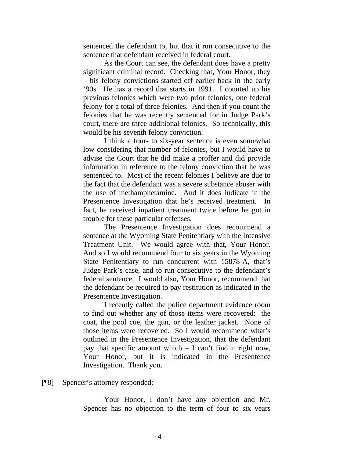sentenced the defendant to, but that it run consecutive to the sentence that defendant received in federal court.

As the Court can see, the defendant does have a pretty significant criminal record. Checking that, Your Honor, they – his felony convictions started off earlier back in the early '90s. He has a record that starts in 1991. I counted up his previous felonies which were two prior felonies, one federal felony for a total of three felonies. And then if you count the felonies that he was recently sentenced for in Judge Park's court, there are three additional felonies. So technically, this would be his seventh felony conviction.

I think a four- to six-year sentence is even somewhat low considering that number of felonies, but I would have to advise the Court that he did make a proffer and did provide information in reference to the felony conviction that he was sentenced to. Most of the recent felonies I believe are due to the fact that the defendant was a severe substance abuser with the use of methamphetamine. And it does indicate in the Presentence Investigation that he's received treatment. In fact, he received inpatient treatment twice before he got in trouble for these particular offenses.

The Presentence Investigation does recommend a sentence at the Wyoming State Penitentiary with the Intensive Treatment Unit. We would agree with that, Your Honor. And so I would recommend four to six years in the Wyoming State Penitentiary to run concurrent with 15878-A, that's Judge Park's case, and to run consecutive to the defendant's federal sentence. I would also, Your Honor, recommend that the defendant be required to pay restitution as indicated in the Presentence Investigation.

I recently called the police department evidence room to find out whether any of those items were recovered: the coat, the pool cue, the gun, or the leather jacket. None of those items were recovered. So I would recommend what's outlined in the Presentence Investigation, that the defendant pay that specific amount which – I can't find it right now, Your Honor, but it is indicated in the Presentence Investigation. Thank you.

[¶8] Spencer's attorney responded:

Your Honor, I don't have any objection and Mr. Spencer has no objection to the term of four to six years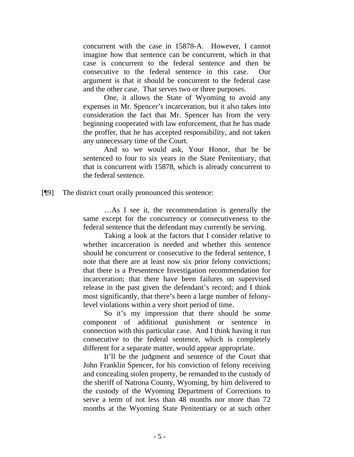concurrent with the case in 15878-A. However, I cannot imagine how that sentence can be concurrent, which in that case is concurrent to the federal sentence and then be consecutive to the federal sentence in this case. Our argument is that it should be concurrent to the federal case and the other case. That serves two or three purposes.

One, it allows the State of Wyoming to avoid any expenses in Mr. Spencer's incarceration, but it also takes into consideration the fact that Mr. Spencer has from the very beginning cooperated with law enforcement, that he has made the proffer, that he has accepted responsibility, and not taken any unnecessary time of the Court.

And so we would ask, Your Honor, that he be sentenced to four to six years in the State Penitentiary, that that is concurrent with 15878, which is already concurrent to the federal sentence.

[¶9] The district court orally pronounced this sentence:

…As I see it, the recommendation is generally the same except for the concurrency or consecutiveness to the federal sentence that the defendant may currently be serving.

Taking a look at the factors that I consider relative to whether incarceration is needed and whether this sentence should be concurrent or consecutive to the federal sentence, I note that there are at least now six prior felony convictions; that there is a Presentence Investigation recommendation for incarceration; that there have been failures on supervised release in the past given the defendant's record; and I think most significantly, that there's been a large number of felonylevel violations within a very short period of time.

So it's my impression that there should be some component of additional punishment or sentence in connection with this particular case. And I think having it run consecutive to the federal sentence, which is completely different for a separate matter, would appear appropriate.

It'll be the judgment and sentence of the Court that John Franklin Spencer, for his conviction of felony receiving and concealing stolen property, be remanded to the custody of the sheriff of Natrona County, Wyoming, by him delivered to the custody of the Wyoming Department of Corrections to serve a term of not less than 48 months nor more than 72 months at the Wyoming State Penitentiary or at such other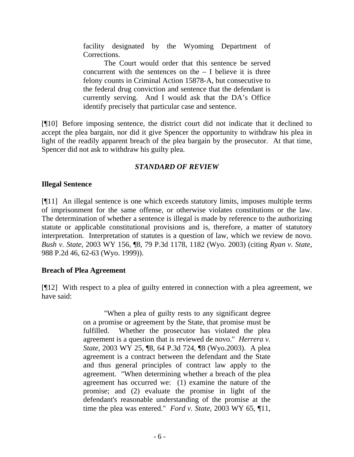facility designated by the Wyoming Department of Corrections.

The Court would order that this sentence be served concurrent with the sentences on the  $-$  I believe it is three felony counts in Criminal Action 15878-A, but consecutive to the federal drug conviction and sentence that the defendant is currently serving. And I would ask that the DA's Office identify precisely that particular case and sentence.

[¶10] Before imposing sentence, the district court did not indicate that it declined to accept the plea bargain, nor did it give Spencer the opportunity to withdraw his plea in light of the readily apparent breach of the plea bargain by the prosecutor. At that time, Spencer did not ask to withdraw his guilty plea.

# *STANDARD OF REVIEW*

#### **Illegal Sentence**

[¶11] An illegal sentence is one which exceeds statutory limits, imposes multiple terms of imprisonment for the same offense, or otherwise violates constitutions or the law. The determination of whether a sentence is illegal is made by reference to the authorizing statute or applicable constitutional provisions and is, therefore, a matter of statutory interpretation. Interpretation of statutes is a question of law, which we review de novo. *Bush v. State*, 2003 WY 156, ¶8, 79 P.3d 1178, 1182 (Wyo. 2003) (citing *Ryan v. State*, 988 P.2d 46, 62-63 (Wyo. 1999)).

#### **Breach of Plea Agreement**

[¶12] With respect to a plea of guilty entered in connection with a plea agreement, we have said:

> "When a plea of guilty rests to any significant degree on a promise or agreement by the State, that promise must be fulfilled. Whether the prosecutor has violated the plea agreement is a question that is reviewed de novo." *Herrera v. State*, 2003 WY 25, ¶8, 64 P.3d 724, ¶8 (Wyo.2003). A plea agreement is a contract between the defendant and the State and thus general principles of contract law apply to the agreement. "When determining whether a breach of the plea agreement has occurred we: (1) examine the nature of the promise; and (2) evaluate the promise in light of the defendant's reasonable understanding of the promise at the time the plea was entered." *Ford v. State*, 2003 WY 65, ¶11,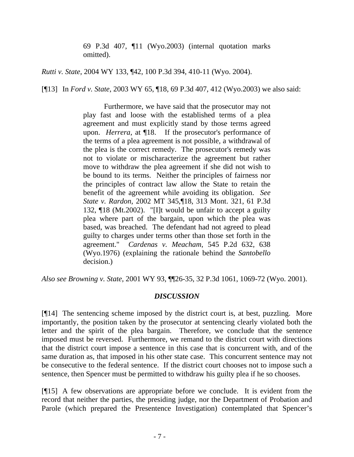69 P.3d 407, ¶11 (Wyo.2003) (internal quotation marks omitted).

*Rutti v. State*, 2004 WY 133, ¶42, 100 P.3d 394, 410-11 (Wyo. 2004).

[¶13] In *Ford v. State*, 2003 WY 65, ¶18, 69 P.3d 407, 412 (Wyo.2003) we also said:

Furthermore, we have said that the prosecutor may not play fast and loose with the established terms of a plea agreement and must explicitly stand by those terms agreed upon. *Herrera*, at ¶18. If the prosecutor's performance of the terms of a plea agreement is not possible, a withdrawal of the plea is the correct remedy. The prosecutor's remedy was not to violate or mischaracterize the agreement but rather move to withdraw the plea agreement if she did not wish to be bound to its terms. Neither the principles of fairness nor the principles of contract law allow the State to retain the benefit of the agreement while avoiding its obligation. *See State v. Rardon*, 2002 MT 345,¶18, 313 Mont. 321, 61 P.3d 132, ¶18 (Mt.2002). "[I]t would be unfair to accept a guilty plea where part of the bargain, upon which the plea was based, was breached. The defendant had not agreed to plead guilty to charges under terms other than those set forth in the agreement." *Cardenas v. Meacham*, 545 P.2d 632, 638 (Wyo.1976) (explaining the rationale behind the *Santobello* decision.)

*Also see Browning v. State*, 2001 WY 93, ¶¶26-35, 32 P.3d 1061, 1069-72 (Wyo. 2001).

# *DISCUSSION*

[¶14] The sentencing scheme imposed by the district court is, at best, puzzling. More importantly, the position taken by the prosecutor at sentencing clearly violated both the letter and the spirit of the plea bargain. Therefore, we conclude that the sentence imposed must be reversed. Furthermore, we remand to the district court with directions that the district court impose a sentence in this case that is concurrent with, and of the same duration as, that imposed in his other state case. This concurrent sentence may not be consecutive to the federal sentence. If the district court chooses not to impose such a sentence, then Spencer must be permitted to withdraw his guilty plea if he so chooses.

[¶15] A few observations are appropriate before we conclude. It is evident from the record that neither the parties, the presiding judge, nor the Department of Probation and Parole (which prepared the Presentence Investigation) contemplated that Spencer's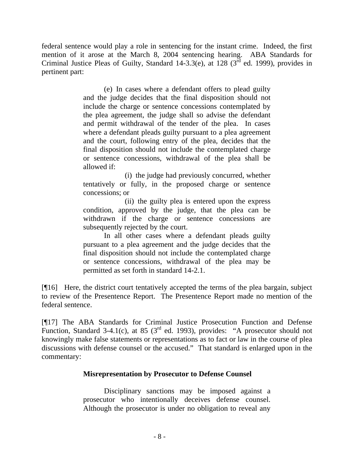federal sentence would play a role in sentencing for the instant crime. Indeed, the first mention of it arose at the March 8, 2004 sentencing hearing. ABA Standards for Criminal Justice Pleas of Guilty, Standard 14-3.3(e), at 128 ( $3<sup>rd</sup>$  ed. 1999), provides in pertinent part:

> (e) In cases where a defendant offers to plead guilty and the judge decides that the final disposition should not include the charge or sentence concessions contemplated by the plea agreement, the judge shall so advise the defendant and permit withdrawal of the tender of the plea. In cases where a defendant pleads guilty pursuant to a plea agreement and the court, following entry of the plea, decides that the final disposition should not include the contemplated charge or sentence concessions, withdrawal of the plea shall be allowed if:

> (i) the judge had previously concurred, whether tentatively or fully, in the proposed charge or sentence concessions; or

> (ii) the guilty plea is entered upon the express condition, approved by the judge, that the plea can be withdrawn if the charge or sentence concessions are subsequently rejected by the court.

> In all other cases where a defendant pleads guilty pursuant to a plea agreement and the judge decides that the final disposition should not include the contemplated charge or sentence concessions, withdrawal of the plea may be permitted as set forth in standard 14-2.1.

[¶16] Here, the district court tentatively accepted the terms of the plea bargain, subject to review of the Presentence Report. The Presentence Report made no mention of the federal sentence.

[¶17] The ABA Standards for Criminal Justice Prosecution Function and Defense Function, Standard 3-4.1(c), at 85 ( $3<sup>rd</sup>$  ed. 1993), provides: "A prosecutor should not knowingly make false statements or representations as to fact or law in the course of plea discussions with defense counsel or the accused." That standard is enlarged upon in the commentary:

# **Misrepresentation by Prosecutor to Defense Counsel**

Disciplinary sanctions may be imposed against a prosecutor who intentionally deceives defense counsel. Although the prosecutor is under no obligation to reveal any